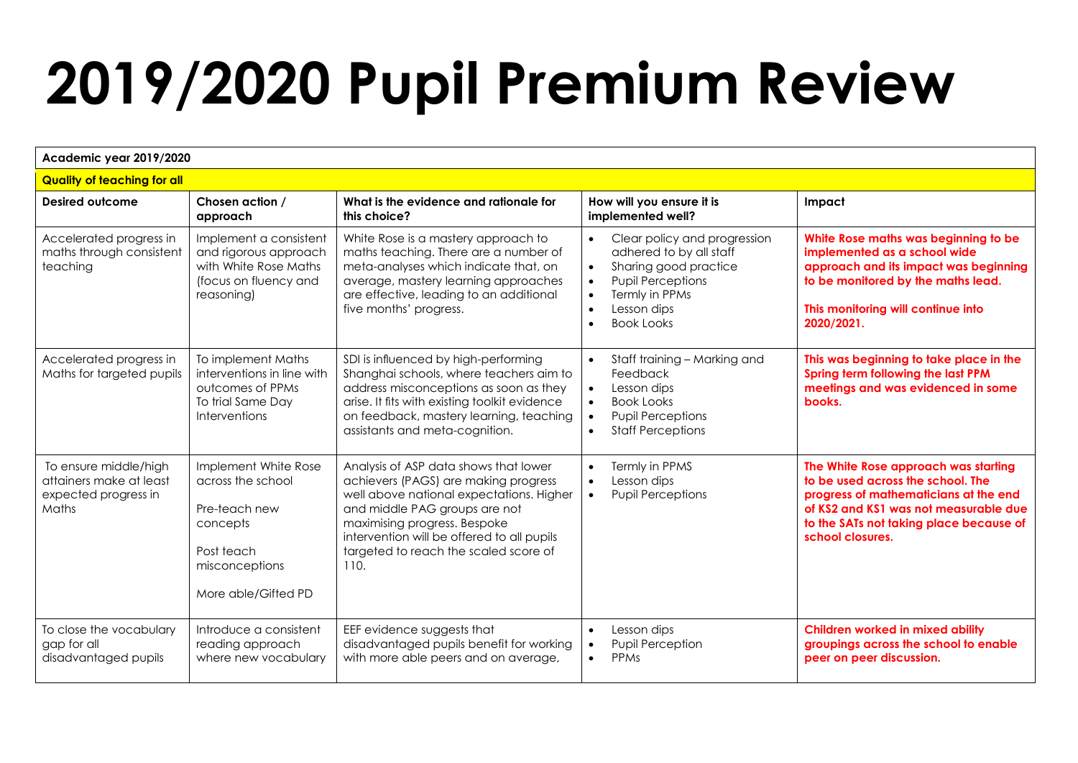## **2019/2020 Pupil Premium Review**

| Academic year 2019/2020                                                           |                                                                                                                               |                                                                                                                                                                                                                                                                                           |                                                                                                                                                                                                                                     |                                                                                                                                                                                                                            |  |  |
|-----------------------------------------------------------------------------------|-------------------------------------------------------------------------------------------------------------------------------|-------------------------------------------------------------------------------------------------------------------------------------------------------------------------------------------------------------------------------------------------------------------------------------------|-------------------------------------------------------------------------------------------------------------------------------------------------------------------------------------------------------------------------------------|----------------------------------------------------------------------------------------------------------------------------------------------------------------------------------------------------------------------------|--|--|
| <b>Quality of teaching for all</b>                                                |                                                                                                                               |                                                                                                                                                                                                                                                                                           |                                                                                                                                                                                                                                     |                                                                                                                                                                                                                            |  |  |
| Desired outcome                                                                   | Chosen action /<br>approach                                                                                                   | What is the evidence and rationale for<br>this choice?                                                                                                                                                                                                                                    | How will you ensure it is<br>implemented well?                                                                                                                                                                                      | Impact                                                                                                                                                                                                                     |  |  |
| Accelerated progress in<br>maths through consistent<br>teaching                   | Implement a consistent<br>and rigorous approach<br>with White Rose Maths<br>(focus on fluency and<br>reasoning)               | White Rose is a mastery approach to<br>maths teaching. There are a number of<br>meta-analyses which indicate that, on<br>average, mastery learning approaches<br>are effective, leading to an additional<br>five months' progress.                                                        | Clear policy and progression<br>adhered to by all staff<br>Sharing good practice<br>$\bullet$<br><b>Pupil Perceptions</b><br>$\bullet$<br>Termly in PPMs<br>$\bullet$<br>Lesson dips<br>$\bullet$<br><b>Book Looks</b><br>$\bullet$ | White Rose maths was beginning to be<br>implemented as a school wide<br>approach and its impact was beginning<br>to be monitored by the maths lead.<br>This monitoring will continue into<br>2020/2021.                    |  |  |
| Accelerated progress in<br>Maths for targeted pupils                              | To implement Maths<br>interventions in line with<br>outcomes of PPMs<br>To trial Same Day<br>Interventions                    | SDI is influenced by high-performing<br>Shanghai schools, where teachers aim to<br>address misconceptions as soon as they<br>arise. It fits with existing toolkit evidence<br>on feedback, mastery learning, teaching<br>assistants and meta-cognition.                                   | Staff training - Marking and<br>$\bullet$<br>Feedback<br>Lesson dips<br>$\bullet$<br>Book Looks<br>$\bullet$<br><b>Pupil Perceptions</b><br><b>Staff Perceptions</b><br>$\bullet$                                                   | This was beginning to take place in the<br>Spring term following the last PPM<br>meetings and was evidenced in some<br>books.                                                                                              |  |  |
| To ensure middle/high<br>attainers make at least<br>expected progress in<br>Maths | Implement White Rose<br>across the school<br>Pre-teach new<br>concepts<br>Post teach<br>misconceptions<br>More able/Gifted PD | Analysis of ASP data shows that lower<br>achievers (PAGS) are making progress<br>well above national expectations. Higher<br>and middle PAG groups are not<br>maximising progress. Bespoke<br>intervention will be offered to all pupils<br>targeted to reach the scaled score of<br>110. | Termly in PPMS<br>$\bullet$<br>Lesson dips<br>$\bullet$<br><b>Pupil Perceptions</b><br>$\bullet$                                                                                                                                    | The White Rose approach was starting<br>to be used across the school. The<br>progress of mathematicians at the end<br>of KS2 and KS1 was not measurable due<br>to the SATs not taking place because of<br>school closures. |  |  |
| To close the vocabulary<br>gap for all<br>disadvantaged pupils                    | Introduce a consistent<br>reading approach<br>where new vocabulary                                                            | EEF evidence suggests that<br>disadvantaged pupils benefit for working<br>with more able peers and on average,                                                                                                                                                                            | Lesson dips<br>Pupil Perception<br><b>PPMs</b><br>$\bullet$                                                                                                                                                                         | <b>Children worked in mixed ability</b><br>groupings across the school to enable<br>peer on peer discussion.                                                                                                               |  |  |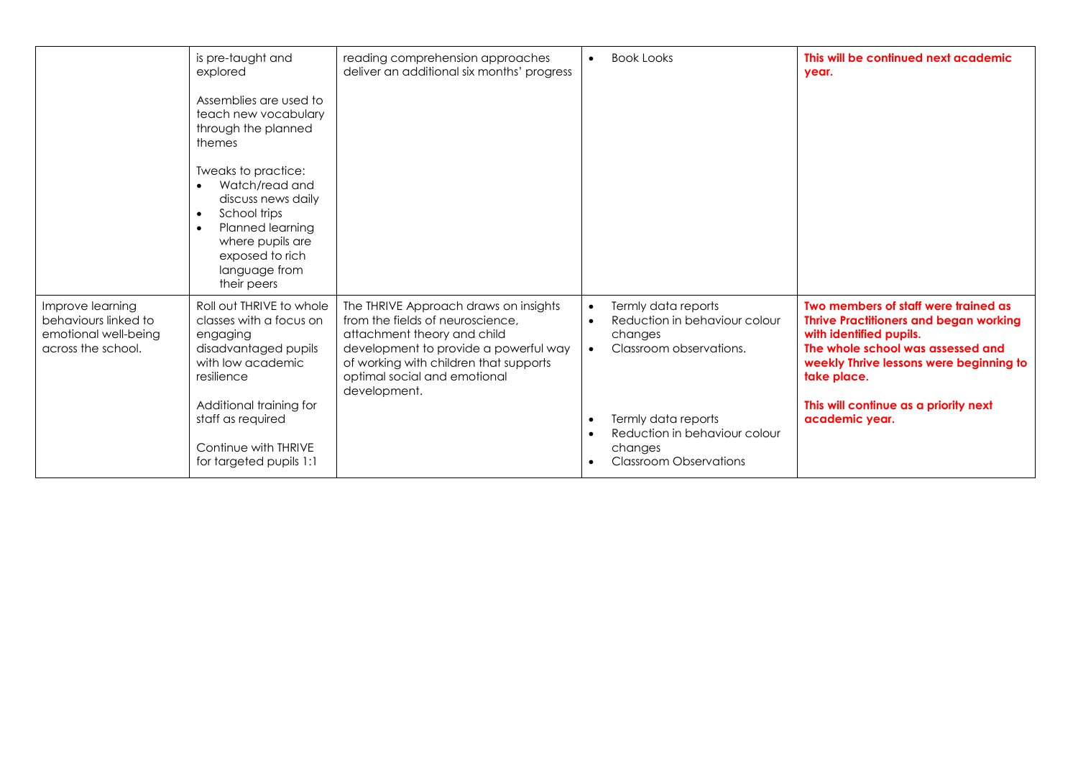|                                                                                        | is pre-taught and<br>explored<br>Assemblies are used to<br>teach new vocabulary<br>through the planned<br>themes<br>Tweaks to practice:<br>Watch/read and<br>$\bullet$<br>discuss news daily<br>School trips<br>$\bullet$<br>Planned learning<br>$\bullet$<br>where pupils are<br>exposed to rich<br>language from<br>their peers | reading comprehension approaches<br>deliver an additional six months' progress                                                                                                                                                              | $\bullet$                           | <b>Book Looks</b>                                                                                                                                                                              | This will be continued next academic<br>year.                                                                                                                                                                                                                              |
|----------------------------------------------------------------------------------------|-----------------------------------------------------------------------------------------------------------------------------------------------------------------------------------------------------------------------------------------------------------------------------------------------------------------------------------|---------------------------------------------------------------------------------------------------------------------------------------------------------------------------------------------------------------------------------------------|-------------------------------------|------------------------------------------------------------------------------------------------------------------------------------------------------------------------------------------------|----------------------------------------------------------------------------------------------------------------------------------------------------------------------------------------------------------------------------------------------------------------------------|
| Improve learning<br>behaviours linked to<br>emotional well-being<br>across the school. | Roll out THRIVE to whole<br>classes with a focus on<br>engaging<br>disadvantaged pupils<br>with low academic<br>resilience<br>Additional training for<br>staff as required<br>Continue with THRIVE<br>for targeted pupils 1:1                                                                                                     | The THRIVE Approach draws on insights<br>from the fields of neuroscience,<br>attachment theory and child<br>development to provide a powerful way<br>of working with children that supports<br>optimal social and emotional<br>development. | $\bullet$<br>$\bullet$<br>$\bullet$ | Termly data reports<br>Reduction in behaviour colour<br>changes<br>Classroom observations.<br>Termly data reports<br>Reduction in behaviour colour<br>changes<br><b>Classroom Observations</b> | Two members of staff were trained as<br><b>Thrive Practitioners and began working</b><br>with identified pupils.<br>The whole school was assessed and<br>weekly Thrive lessons were beginning to<br>take place.<br>This will continue as a priority next<br>academic year. |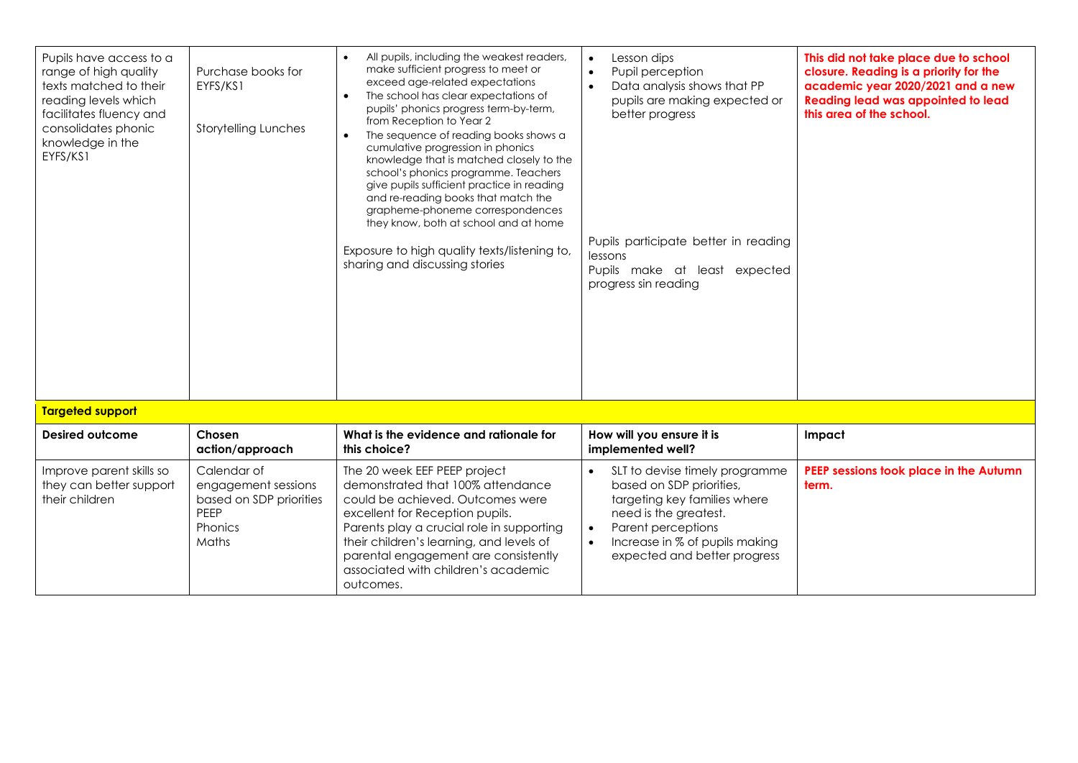| Pupils have access to a<br>range of high quality<br>texts matched to their<br>reading levels which<br>facilitates fluency and<br>consolidates phonic<br>knowledge in the<br>EYFS/KS1 | Purchase books for<br>EYFS/KS1<br><b>Storytelling Lunches</b>                                    | All pupils, including the weakest readers,<br>make sufficient progress to meet or<br>exceed age-related expectations<br>The school has clear expectations of<br>$\bullet$<br>pupils' phonics progress term-by-term,<br>from Reception to Year 2<br>The sequence of reading books shows a<br>cumulative progression in phonics<br>knowledge that is matched closely to the<br>school's phonics programme. Teachers<br>give pupils sufficient practice in reading<br>and re-reading books that match the<br>grapheme-phoneme correspondences<br>they know, both at school and at home<br>Exposure to high quality texts/listening to,<br>sharing and discussing stories | Lesson dips<br>$\bullet$<br>Pupil perception<br>$\bullet$<br>Data analysis shows that PP<br>$\bullet$<br>pupils are making expected or<br>better progress<br>Pupils participate better in reading<br>lessons<br>Pupils make at least expected<br>progress sin reading | This did not take place due to school<br>closure. Reading is a priority for the<br>academic year 2020/2021 and a new<br><b>Reading lead was appointed to lead</b><br>this area of the school. |
|--------------------------------------------------------------------------------------------------------------------------------------------------------------------------------------|--------------------------------------------------------------------------------------------------|-----------------------------------------------------------------------------------------------------------------------------------------------------------------------------------------------------------------------------------------------------------------------------------------------------------------------------------------------------------------------------------------------------------------------------------------------------------------------------------------------------------------------------------------------------------------------------------------------------------------------------------------------------------------------|-----------------------------------------------------------------------------------------------------------------------------------------------------------------------------------------------------------------------------------------------------------------------|-----------------------------------------------------------------------------------------------------------------------------------------------------------------------------------------------|
| <b>Targeted support</b>                                                                                                                                                              |                                                                                                  |                                                                                                                                                                                                                                                                                                                                                                                                                                                                                                                                                                                                                                                                       |                                                                                                                                                                                                                                                                       |                                                                                                                                                                                               |
| Desired outcome                                                                                                                                                                      | Chosen<br>action/approach                                                                        | What is the evidence and rationale for<br>this choice?                                                                                                                                                                                                                                                                                                                                                                                                                                                                                                                                                                                                                | How will you ensure it is<br>implemented well?                                                                                                                                                                                                                        | Impact                                                                                                                                                                                        |
| Improve parent skills so<br>they can better support<br>their children                                                                                                                | Calendar of<br>engagement sessions<br>based on SDP priorities<br>PEEP<br>Phonics<br><b>Maths</b> | The 20 week EEF PEEP project<br>demonstrated that 100% attendance<br>could be achieved. Outcomes were<br>excellent for Reception pupils.<br>Parents play a crucial role in supporting<br>their children's learning, and levels of<br>parental engagement are consistently<br>associated with children's academic<br>outcomes.                                                                                                                                                                                                                                                                                                                                         | SLT to devise timely programme<br>$\bullet$<br>based on SDP priorities,<br>targeting key families where<br>need is the greatest.<br>Parent perceptions<br>$\bullet$<br>Increase in % of pupils making<br>$\bullet$<br>expected and better progress                    | PEEP sessions took place in the Autumn<br>term.                                                                                                                                               |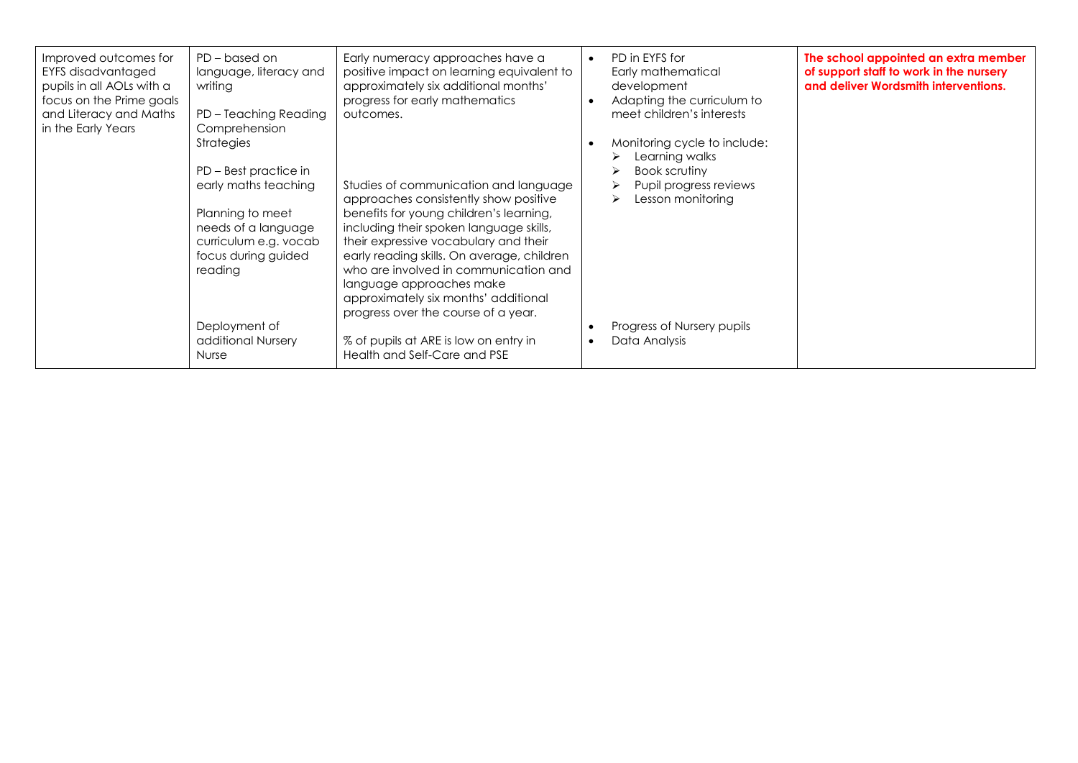| Improved outcomes for<br>EYFS disadvantaged<br>pupils in all AOLs with a<br>focus on the Prime goals<br>and Literacy and Maths<br>in the Early Years | PD – based on<br>language, literacy and<br>writing<br>PD - Teaching Reading<br>Comprehension<br>Strategies<br>PD – Best practice in<br>early maths teaching<br>Planning to meet<br>needs of a language<br>curriculum e.g. vocab<br>focus during guided<br>reading | Early numeracy approaches have a<br>positive impact on learning equivalent to<br>approximately six additional months'<br>progress for early mathematics<br>outcomes.<br>Studies of communication and language<br>approaches consistently show positive<br>benefits for young children's learning,<br>including their spoken language skills,<br>their expressive vocabulary and their<br>early reading skills. On average, children<br>who are involved in communication and<br>language approaches make<br>approximately six months' additional<br>progress over the course of a year. | $\bullet$ | PD in EYFS for<br>Early mathematical<br>development<br>Adapting the curriculum to<br>meet children's interests<br>Monitoring cycle to include:<br>Learning walks<br>Book scrutiny<br>Pupil progress reviews<br>Lesson monitoring | The school appointed an extra member<br>of support staff to work in the nursery<br>and deliver Wordsmith interventions. |
|------------------------------------------------------------------------------------------------------------------------------------------------------|-------------------------------------------------------------------------------------------------------------------------------------------------------------------------------------------------------------------------------------------------------------------|-----------------------------------------------------------------------------------------------------------------------------------------------------------------------------------------------------------------------------------------------------------------------------------------------------------------------------------------------------------------------------------------------------------------------------------------------------------------------------------------------------------------------------------------------------------------------------------------|-----------|----------------------------------------------------------------------------------------------------------------------------------------------------------------------------------------------------------------------------------|-------------------------------------------------------------------------------------------------------------------------|
|                                                                                                                                                      | Deployment of<br>additional Nursery<br><b>Nurse</b>                                                                                                                                                                                                               | % of pupils at ARE is low on entry in<br>Health and Self-Care and PSE                                                                                                                                                                                                                                                                                                                                                                                                                                                                                                                   | $\bullet$ | Progress of Nursery pupils<br>Data Analysis                                                                                                                                                                                      |                                                                                                                         |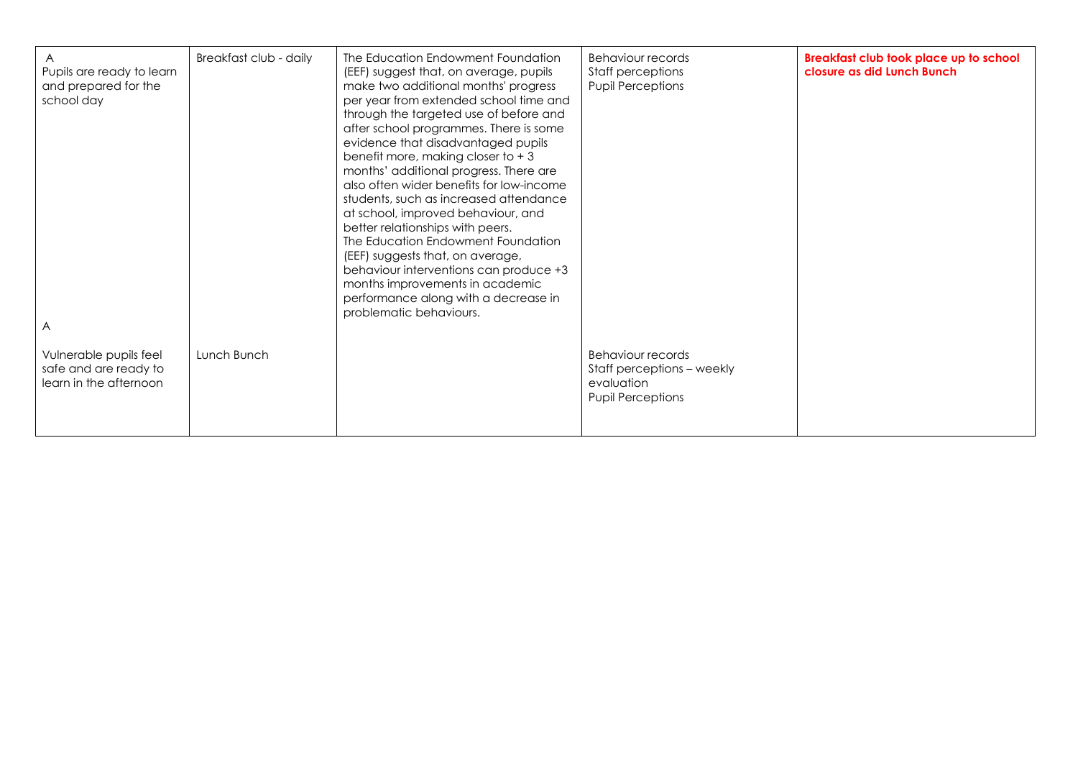| Pupils are ready to learn<br>and prepared for the<br>school day<br>A      | Breakfast club - daily | The Education Endowment Foundation<br>(EEF) suggest that, on average, pupils<br>make two additional months' progress<br>per year from extended school time and<br>through the targeted use of before and<br>after school programmes. There is some<br>evidence that disadvantaged pupils<br>benefit more, making closer to $+3$<br>months' additional progress. There are<br>also often wider benefits for low-income<br>students, such as increased attendance<br>at school, improved behaviour, and<br>better relationships with peers.<br>The Education Endowment Foundation<br>(EEF) suggests that, on average,<br>behaviour interventions can produce +3<br>months improvements in academic<br>performance along with a decrease in<br>problematic behaviours. | Behaviour records<br>Staff perceptions<br><b>Pupil Perceptions</b>                        | Breakfast club took place up to school<br>closure as did Lunch Bunch |
|---------------------------------------------------------------------------|------------------------|---------------------------------------------------------------------------------------------------------------------------------------------------------------------------------------------------------------------------------------------------------------------------------------------------------------------------------------------------------------------------------------------------------------------------------------------------------------------------------------------------------------------------------------------------------------------------------------------------------------------------------------------------------------------------------------------------------------------------------------------------------------------|-------------------------------------------------------------------------------------------|----------------------------------------------------------------------|
| Vulnerable pupils feel<br>safe and are ready to<br>learn in the afternoon | Lunch Bunch            |                                                                                                                                                                                                                                                                                                                                                                                                                                                                                                                                                                                                                                                                                                                                                                     | Behaviour records<br>Staff perceptions – weekly<br>evaluation<br><b>Pupil Perceptions</b> |                                                                      |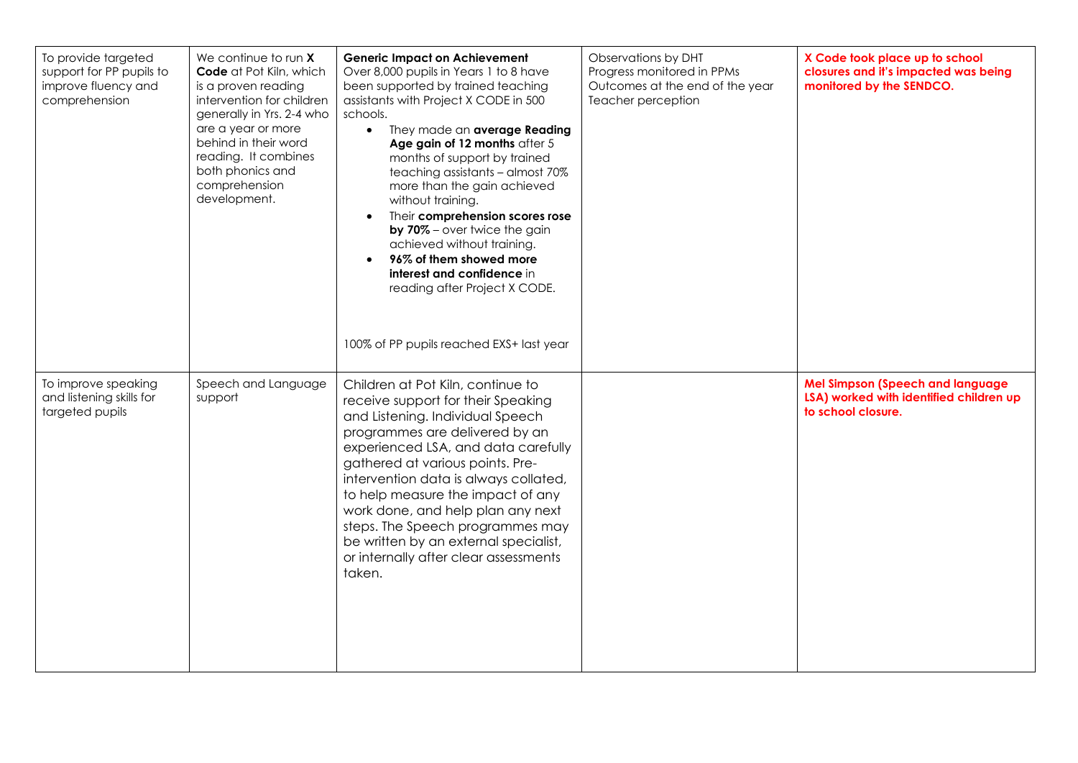| To provide targeted<br>support for PP pupils to<br>improve fluency and<br>comprehension | We continue to run $X$<br>Code at Pot Kiln, which<br>is a proven reading<br>intervention for children<br>generally in Yrs. 2-4 who<br>are a year or more<br>behind in their word<br>reading. It combines<br>both phonics and<br>comprehension<br>development. | <b>Generic Impact on Achievement</b><br>Over 8,000 pupils in Years 1 to 8 have<br>been supported by trained teaching<br>assistants with Project X CODE in 500<br>schools.<br>They made an average Reading<br>$\bullet$<br>Age gain of 12 months after 5<br>months of support by trained<br>teaching assistants - almost 70%<br>more than the gain achieved<br>without training.<br>Their comprehension scores rose<br>$\bullet$<br>by 70% - over twice the gain<br>achieved without training.<br>96% of them showed more<br>$\bullet$<br>interest and confidence in<br>reading after Project X CODE.<br>100% of PP pupils reached EXS+ last year | Observations by DHT<br>Progress monitored in PPMs<br>Outcomes at the end of the year<br>Teacher perception | X Code took place up to school<br>closures and it's impacted was being<br>monitored by the SENDCO.       |
|-----------------------------------------------------------------------------------------|---------------------------------------------------------------------------------------------------------------------------------------------------------------------------------------------------------------------------------------------------------------|--------------------------------------------------------------------------------------------------------------------------------------------------------------------------------------------------------------------------------------------------------------------------------------------------------------------------------------------------------------------------------------------------------------------------------------------------------------------------------------------------------------------------------------------------------------------------------------------------------------------------------------------------|------------------------------------------------------------------------------------------------------------|----------------------------------------------------------------------------------------------------------|
| To improve speaking<br>and listening skills for<br>targeted pupils                      | Speech and Language<br>support                                                                                                                                                                                                                                | Children at Pot Kiln, continue to<br>receive support for their Speaking<br>and Listening. Individual Speech<br>programmes are delivered by an<br>experienced LSA, and data carefully<br>gathered at various points. Pre-<br>intervention data is always collated,<br>to help measure the impact of any<br>work done, and help plan any next<br>steps. The Speech programmes may<br>be written by an external specialist,<br>or internally after clear assessments<br>taken.                                                                                                                                                                      |                                                                                                            | <b>Mel Simpson (Speech and language</b><br>LSA) worked with identified children up<br>to school closure. |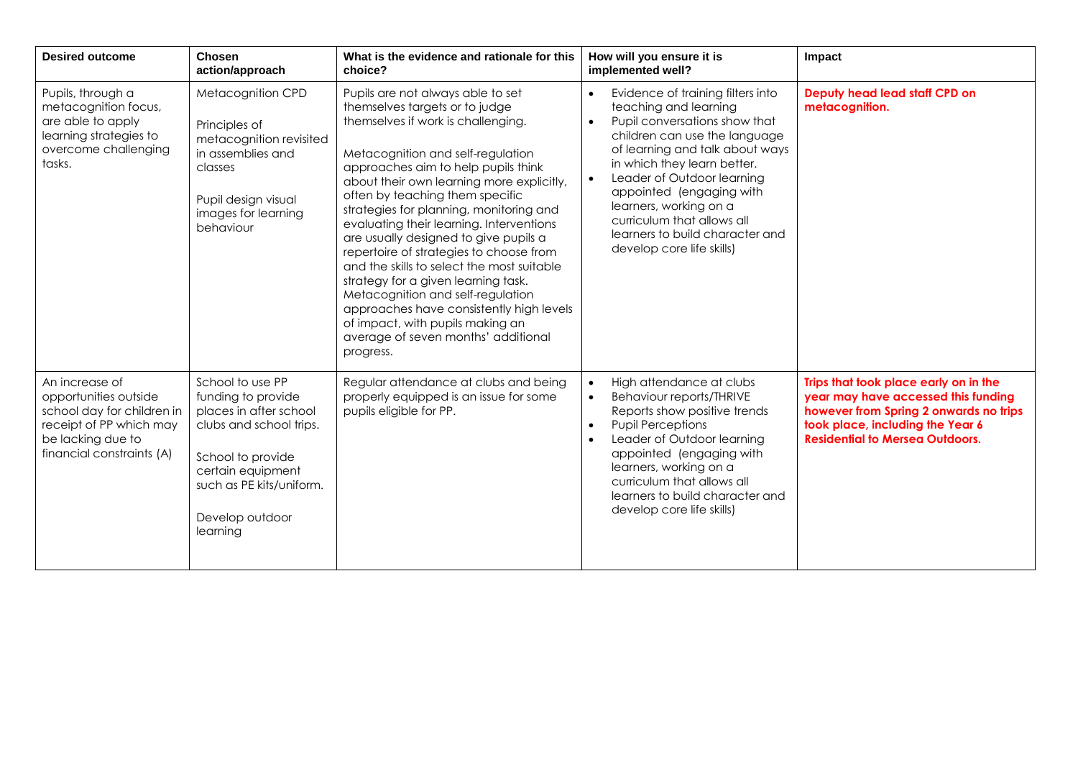| <b>Desired outcome</b>                                                                                                                             | <b>Chosen</b><br>action/approach                                                                                                                                                                 | What is the evidence and rationale for this<br>choice?                                                                                                                                                                                                                                                                                                                                                                                                                                                                                                                                                                                                                                                         | How will you ensure it is<br>implemented well?                                                                                                                                                                                                                                                                                                                                                             | Impact                                                                                                                                                                                               |
|----------------------------------------------------------------------------------------------------------------------------------------------------|--------------------------------------------------------------------------------------------------------------------------------------------------------------------------------------------------|----------------------------------------------------------------------------------------------------------------------------------------------------------------------------------------------------------------------------------------------------------------------------------------------------------------------------------------------------------------------------------------------------------------------------------------------------------------------------------------------------------------------------------------------------------------------------------------------------------------------------------------------------------------------------------------------------------------|------------------------------------------------------------------------------------------------------------------------------------------------------------------------------------------------------------------------------------------------------------------------------------------------------------------------------------------------------------------------------------------------------------|------------------------------------------------------------------------------------------------------------------------------------------------------------------------------------------------------|
| Pupils, through a<br>metacognition focus,<br>are able to apply<br>learning strategies to<br>overcome challenging<br>tasks.                         | Metacognition CPD<br>Principles of<br>metacognition revisited<br>in assemblies and<br>classes<br>Pupil design visual<br>images for learning<br>behaviour                                         | Pupils are not always able to set<br>themselves targets or to judge<br>themselves if work is challenging.<br>Metacognition and self-regulation<br>approaches aim to help pupils think<br>about their own learning more explicitly,<br>often by teaching them specific<br>strategies for planning, monitoring and<br>evaluating their learning. Interventions<br>are usually designed to give pupils a<br>repertoire of strategies to choose from<br>and the skills to select the most suitable<br>strategy for a given learning task.<br>Metacognition and self-regulation<br>approaches have consistently high levels<br>of impact, with pupils making an<br>average of seven months' additional<br>progress. | Evidence of training filters into<br>$\bullet$<br>teaching and learning<br>Pupil conversations show that<br>$\bullet$<br>children can use the language<br>of learning and talk about ways<br>in which they learn better.<br>Leader of Outdoor learning<br>appointed (engaging with<br>learners, working on a<br>curriculum that allows all<br>learners to build character and<br>develop core life skills) | Deputy head lead staff CPD on<br>metacognition.                                                                                                                                                      |
| An increase of<br>opportunities outside<br>school day for children in<br>receipt of PP which may<br>be lacking due to<br>financial constraints (A) | School to use PP<br>funding to provide<br>places in after school<br>clubs and school trips.<br>School to provide<br>certain equipment<br>such as PE kits/uniform.<br>Develop outdoor<br>learning | Regular attendance at clubs and being<br>properly equipped is an issue for some<br>pupils eligible for PP.                                                                                                                                                                                                                                                                                                                                                                                                                                                                                                                                                                                                     | High attendance at clubs<br>$\bullet$<br><b>Behaviour reports/THRIVE</b><br>$\bullet$<br>Reports show positive trends<br><b>Pupil Perceptions</b><br>$\bullet$<br>Leader of Outdoor learning<br>$\bullet$<br>appointed (engaging with<br>learners, working on a<br>curriculum that allows all<br>learners to build character and<br>develop core life skills)                                              | Trips that took place early on in the<br>year may have accessed this funding<br>however from Spring 2 onwards no trips<br>took place, including the Year 6<br><b>Residential to Mersea Outdoors.</b> |